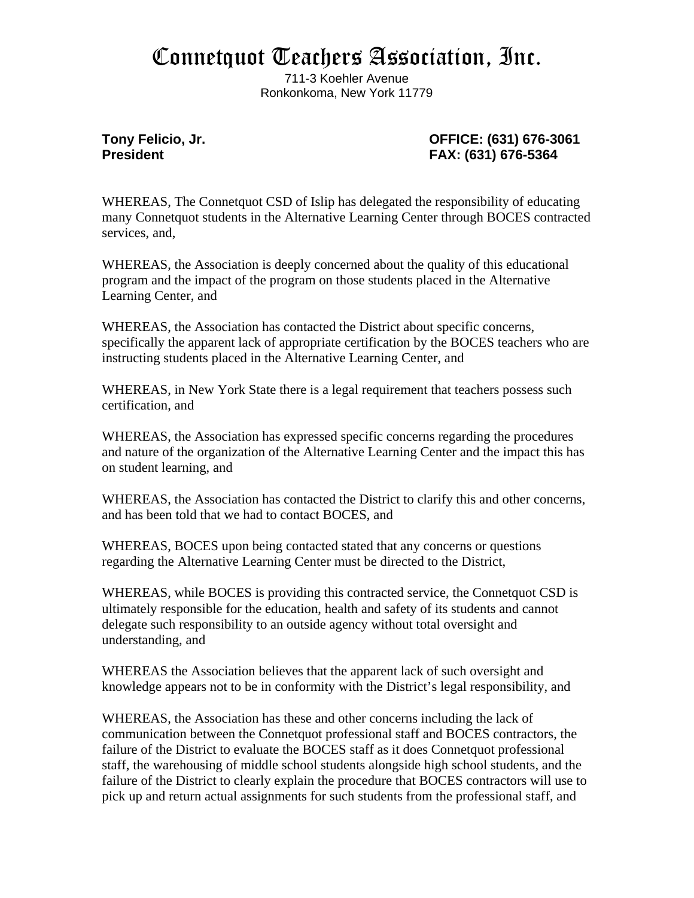## Connetquot Teachers Association, Inc.

711-3 Koehler Avenue Ronkonkoma, New York 11779

## **Tony Felicio, Jr. OFFICE: (631) 676-3061 President FAX: (631) 676-5364**

WHEREAS, The Connetquot CSD of Islip has delegated the responsibility of educating many Connetquot students in the Alternative Learning Center through BOCES contracted services, and,

WHEREAS, the Association is deeply concerned about the quality of this educational program and the impact of the program on those students placed in the Alternative Learning Center, and

WHEREAS, the Association has contacted the District about specific concerns, specifically the apparent lack of appropriate certification by the BOCES teachers who are instructing students placed in the Alternative Learning Center, and

WHEREAS, in New York State there is a legal requirement that teachers possess such certification, and

WHEREAS, the Association has expressed specific concerns regarding the procedures and nature of the organization of the Alternative Learning Center and the impact this has on student learning, and

WHEREAS, the Association has contacted the District to clarify this and other concerns, and has been told that we had to contact BOCES, and

WHEREAS, BOCES upon being contacted stated that any concerns or questions regarding the Alternative Learning Center must be directed to the District,

WHEREAS, while BOCES is providing this contracted service, the Connetquot CSD is ultimately responsible for the education, health and safety of its students and cannot delegate such responsibility to an outside agency without total oversight and understanding, and

WHEREAS the Association believes that the apparent lack of such oversight and knowledge appears not to be in conformity with the District's legal responsibility, and

WHEREAS, the Association has these and other concerns including the lack of communication between the Connetquot professional staff and BOCES contractors, the failure of the District to evaluate the BOCES staff as it does Connetquot professional staff, the warehousing of middle school students alongside high school students, and the failure of the District to clearly explain the procedure that BOCES contractors will use to pick up and return actual assignments for such students from the professional staff, and